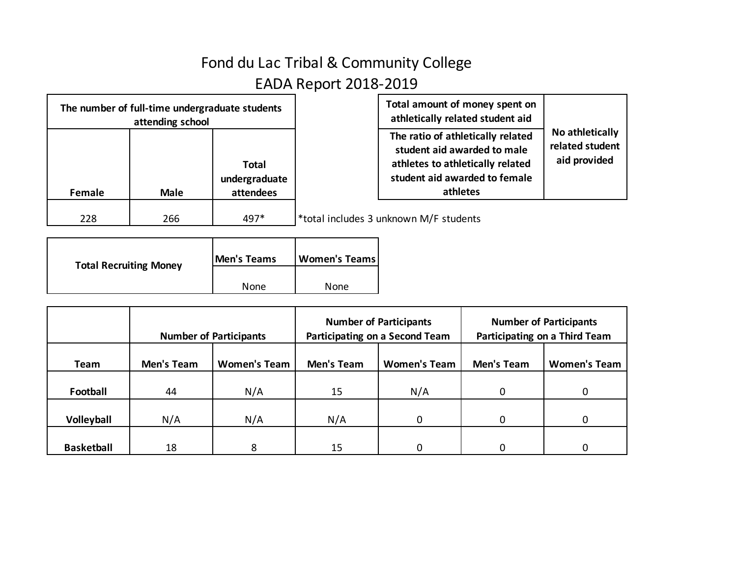## Fond du Lac Tribal & Community College EADA Report 2018-2019

| The number of full-time undergraduate students<br>attending school |             |                                            | Total amount of money spent on<br>athletically related student aid                                                                                |                                                    |
|--------------------------------------------------------------------|-------------|--------------------------------------------|---------------------------------------------------------------------------------------------------------------------------------------------------|----------------------------------------------------|
| Female                                                             | <b>Male</b> | <b>Total</b><br>undergraduate<br>attendees | The ratio of athletically related<br>student aid awarded to male<br>athletes to athletically related<br>student aid awarded to female<br>athletes | No athletically<br>related student<br>aid provided |
| 228                                                                | 266         | 497*                                       | *total includes 3 unknown M/F students                                                                                                            |                                                    |

| <b>Total Recruiting Money</b> | <b>Men's Teams</b> | Women's Teams |
|-------------------------------|--------------------|---------------|
|                               | None               | <b>None</b>   |

|                   | <b>Number of Participants</b> |                     |                   | <b>Number of Participants</b><br>Participating on a Second Team | <b>Number of Participants</b><br>Participating on a Third Team |                     |
|-------------------|-------------------------------|---------------------|-------------------|-----------------------------------------------------------------|----------------------------------------------------------------|---------------------|
| Team              | Men's Team                    | <b>Women's Team</b> | <b>Men's Team</b> | <b>Women's Team</b>                                             | <b>Men's Team</b>                                              | <b>Women's Team</b> |
| Football          | 44                            | N/A                 | 15                | N/A                                                             | $\Omega$                                                       |                     |
| Volleyball        | N/A                           | N/A                 | N/A               | 0                                                               | $\Omega$                                                       |                     |
| <b>Basketball</b> | 18                            | 8                   | 15                | 0                                                               |                                                                |                     |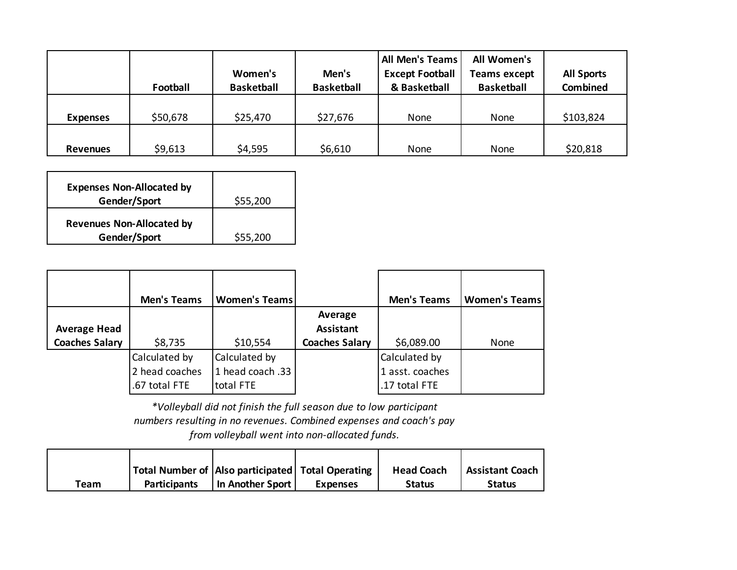|                 | Football | Women's<br><b>Basketball</b> | Men's<br><b>Basketball</b> | <b>All Men's Teams</b><br><b>Except Football</b><br>& Basketball | All Women's<br><b>Teams except</b><br><b>Basketball</b> | <b>All Sports</b><br><b>Combined</b> |
|-----------------|----------|------------------------------|----------------------------|------------------------------------------------------------------|---------------------------------------------------------|--------------------------------------|
| <b>Expenses</b> | \$50,678 | \$25,470                     | \$27,676                   | None                                                             | None                                                    | \$103,824                            |
| <b>Revenues</b> | \$9,613  | \$4,595                      | \$6,610                    | None                                                             | None                                                    | \$20,818                             |

| <b>Expenses Non-Allocated by</b> |          |
|----------------------------------|----------|
| Gender/Sport                     | \$55,200 |
| <b>Revenues Non-Allocated by</b> |          |
| Gender/Sport                     | \$55,200 |

|                       | <b>Men's Teams</b> | <b>Women's Teams</b> |                       | <b>Men's Teams</b> | <b>Women's Teams</b> |
|-----------------------|--------------------|----------------------|-----------------------|--------------------|----------------------|
|                       |                    |                      | Average               |                    |                      |
| <b>Average Head</b>   |                    |                      | <b>Assistant</b>      |                    |                      |
| <b>Coaches Salary</b> | \$8,735            | \$10,554             | <b>Coaches Salary</b> | \$6,089.00         | None                 |
|                       | Calculated by      | Calculated by        |                       | Calculated by      |                      |
|                       | 2 head coaches     | 1 head coach .33     |                       | 1 asst. coaches    |                      |
|                       | .67 total FTE      | total FTE            |                       | .17 total FTE      |                      |

*\*Volleyball did not finish the full season due to low participant numbers resulting in no revenues. Combined expenses and coach's pay from volleyball went into non-allocated funds.*

|      |                     | Total Number of Also participated   Total Operating |                 | <b>Head Coach</b> | <b>Assistant Coach</b> |
|------|---------------------|-----------------------------------------------------|-----------------|-------------------|------------------------|
| Team | <b>Participants</b> | In Another Sport                                    | <b>Expenses</b> | <b>Status</b>     | <b>Status</b>          |